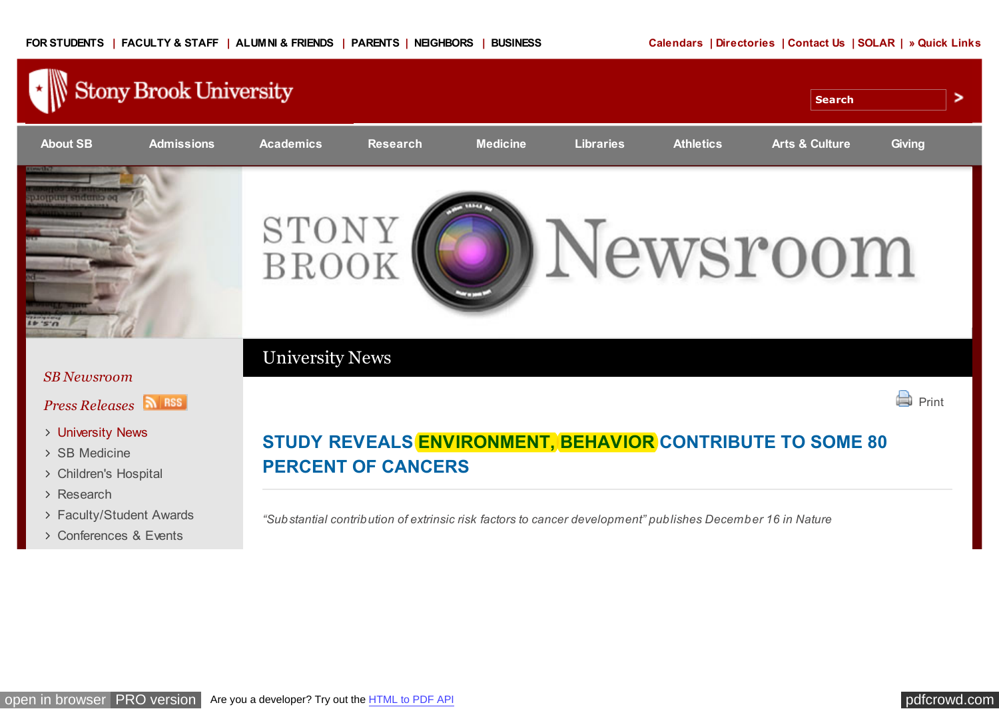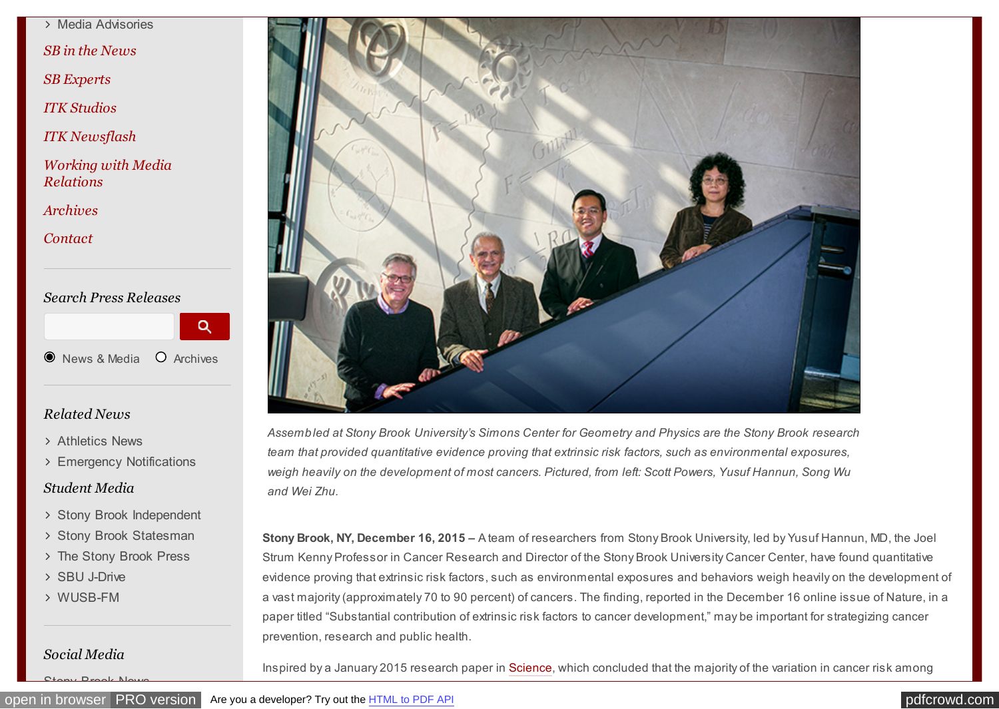[Media Advisories](http://sb.cc.stonybrook.edu/news/advisories/)

*[SB in the News](http://sb.cc.stonybrook.edu/news/press_clips/)*

*[SB Experts](http://stonybrook.edu/faculty-experts)*

*[ITK Studios](http://sb.cc.stonybrook.edu/news/experts-university/videolink.php)*

*[ITK Newsflash](http://sb.cc.stonybrook.edu/news/media_relations/newsflash.php)*

*[Working with Media](http://sb.cc.stonybrook.edu/news/media_relations/reporters_toolkit.php) Relations*

*[Archives](http://sb.cc.stonybrook.edu/news/archives/)*

*[Contact](http://sb.cc.stonybrook.edu/news/media_relations/contact.php)*

# *Search Press Releases*



# *Related News*

- [Athletics News](http://www.goseawolves.org/genrel/ston-genrel.html)
- [Emergency Notifications](http://www.stonybrook.edu/commcms/emergency/alerts.shtml)

## *Student Media*

- > [Stony Brook Independent](http://www.sbindependent.org/)
- > [Stony Brook Statesman](http://www.sbstatesman.com/)
- [The Stony Brook Press](http://www.sbpress.com/)
- [SBU J-Drive](http://www.sbujdrive.com/)
- [WUSB-FM](http://www.wusb.fm/)

## *Social Media*

st Desele News



*Assembled at Stony Brook University's Simons Center for Geometry and Physics are the Stony Brook research team that provided quantitative evidence proving that extrinsic risk factors, such as environmental exposures, weigh heavily on the development of most cancers. Pictured, from left: Scott Powers, Yusuf Hannun, Song Wu and Wei Zhu.*

**Stony Brook, NY, December 16, 2015 –** A team of researchers from Stony Brook University, led by Yusuf Hannun, MD, the Joel Strum Kenny Professor in Cancer Research and Director of the Stony Brook University Cancer Center, have found quantitative evidence proving that extrinsic risk factors, such as environmental exposures and behaviors weigh heavily on the development of a vast majority (approximately 70 to 90 percent) of cancers. The finding, reported in the December 16 online issue of Nature, in a paper titled "Substantial contribution of extrinsic risk factors to cancer development," may be important for strategizing cancer prevention, research and public health.

Inspired by a January 2015 research paper in [Science,](http://www.sciencemag.org/content/347/6217/78.full?sid=1e3d635c-dc0e-48dd-b976-5795fa66f1b9) which concluded that the majority of the variation in cancer risk among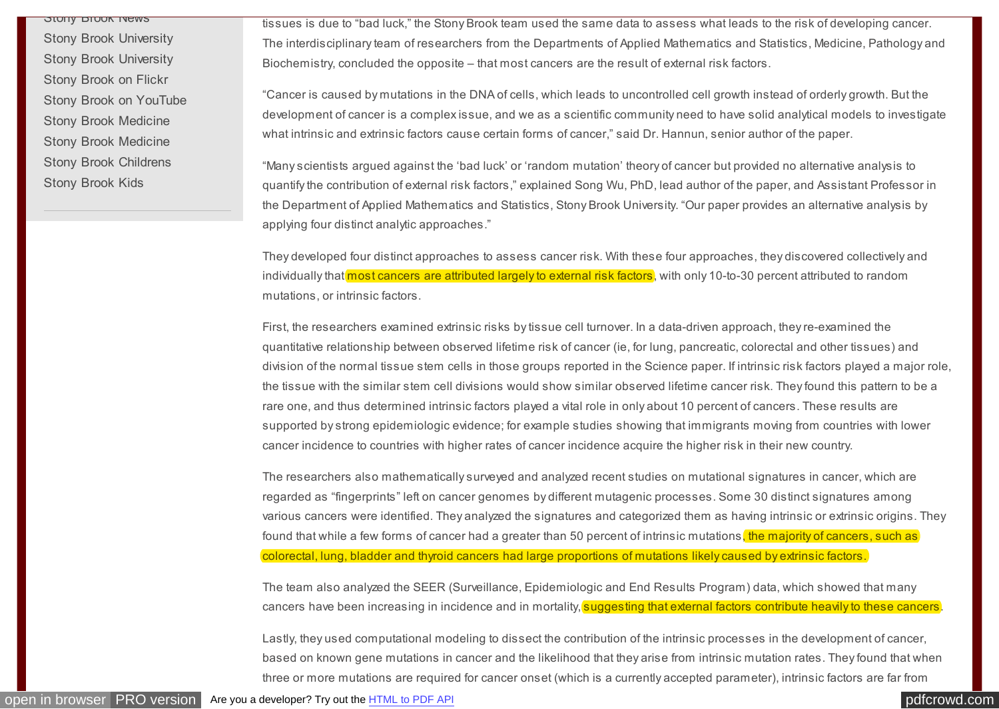[Stony Brook News](http://twitter.com/sbunewsdesk) [Stony Brook University](http://www.facebook.com/stonybrooku) [Stony Brook University](http://twitter.com/stonybrooku) [Stony Brook on Flickr](http://www.flickr.com/photos/sbconnect) [Stony Brook on YouTube](http://www.youtube.com/stonybrook) [Stony Brook Medicine](https://www.facebook.com/stonybrookmedicine) [Stony Brook Medicine](https://twitter.com/StonyBrookMed) [Stony Brook Childrens](https://www.facebook.com/stonybrookchildrens) [Stony Brook Kids](https://twitter.com/StonyBrookKids)

tissues is due to "bad luck," the Stony Brook team used the same data to assess what leads to the risk of developing cancer. The interdisciplinary team of researchers from the Departments of Applied Mathematics and Statistics, Medicine, Pathology and Biochemistry, concluded the opposite – that most cancers are the result of external risk factors.

"Cancer is caused by mutations in the DNA of cells, which leads to uncontrolled cell growth instead of orderly growth. But the development of cancer is a complex issue, and we as a scientific community need to have solid analytical models to investigate what intrinsic and extrinsic factors cause certain forms of cancer," said Dr. Hannun, senior author of the paper.

"Many scientists argued against the 'bad luck' or 'random mutation' theory of cancer but provided no alternative analysis to quantify the contribution of external risk factors," explained Song Wu, PhD, lead author of the paper, and Assistant Professor in the Department of Applied Mathematics and Statistics, Stony Brook University. "Our paper provides an alternative analysis by applying four distinct analytic approaches."

They developed four distinct approaches to assess cancer risk. With these four approaches, they discovered collectively and individually that most cancers are attributed largely to external risk factors, with only 10-to-30 percent attributed to random mutations, or intrinsic factors.

First, the researchers examined extrinsic risks by tissue cell turnover. In a data-driven approach, they re-examined the quantitative relationship between observed lifetime risk of cancer (ie, for lung, pancreatic, colorectal and other tissues) and division of the normal tissue stem cells in those groups reported in the Science paper. If intrinsic risk factors played a major role, the tissue with the similar stem cell divisions would show similar observed lifetime cancer risk. They found this pattern to be a rare one, and thus determined intrinsic factors played a vital role in only about 10 percent of cancers. These results are supported by strong epidemiologic evidence; for example studies showing that immigrants moving from countries with lower cancer incidence to countries with higher rates of cancer incidence acquire the higher risk in their new country.

The researchers also mathematically surveyed and analyzed recent studies on mutational signatures in cancer, which are regarded as "fingerprints" left on cancer genomes by different mutagenic processes. Some 30 distinct signatures among various cancers were identified. They analyzed the signatures and categorized them as having intrinsic or extrinsic origins. They found that while a few forms of cancer had a greater than 50 percent of intrinsic mutations, the majority of cancers, such as colorectal, lung, bladder and thyroid cancers had large proportions of mutations likely caused by extrinsic factors.

The team also analyzed the SEER (Surveillance, Epidemiologic and End Results Program) data, which showed that many cancers have been increasing in incidence and in mortality, suggesting that external factors contribute heavily to these cancers.

Lastly, they used computational modeling to dissect the contribution of the intrinsic processes in the development of cancer, based on known gene mutations in cancer and the likelihood that they arise from intrinsic mutation rates. They found that when three or more mutations are required for cancer onset (which is a currently accepted parameter), intrinsic factors are far from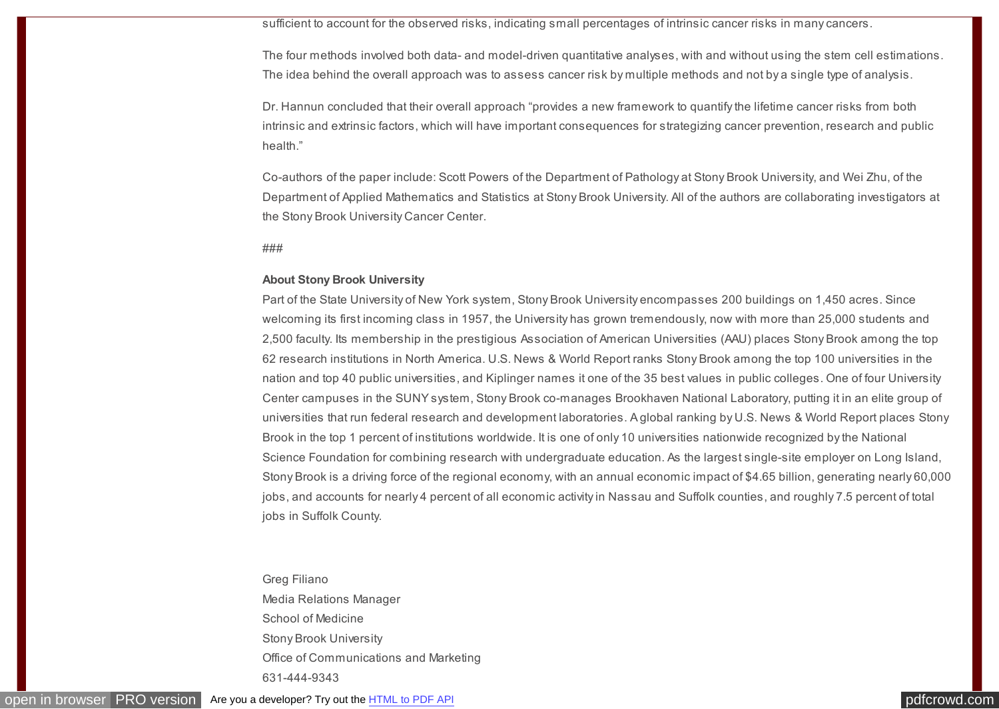sufficient to account for the observed risks, indicating small percentages of intrinsic cancer risks in many cancers.

The four methods involved both data- and model-driven quantitative analyses, with and without using the stem cell estimations. The idea behind the overall approach was to assess cancer risk by multiple methods and not by a single type of analysis.

Dr. Hannun concluded that their overall approach "provides a new framework to quantify the lifetime cancer risks from both intrinsic and extrinsic factors, which will have important consequences for strategizing cancer prevention, research and public health."

Co-authors of the paper include: Scott Powers of the Department of Pathology at Stony Brook University, and Wei Zhu, of the Department of Applied Mathematics and Statistics at Stony Brook University. All of the authors are collaborating investigators at the Stony Brook University Cancer Center.

###

### **About Stony Brook University**

Part of the State University of New York system, Stony Brook University encompasses 200 buildings on 1,450 acres. Since welcoming its first incoming class in 1957, the University has grown tremendously, now with more than 25,000 students and 2,500 faculty. Its membership in the prestigious Association of American Universities (AAU) places Stony Brook among the top 62 research institutions in North America. U.S. News & World Report ranks Stony Brook among the top 100 universities in the nation and top 40 public universities, and Kiplinger names it one of the 35 best values in public colleges. One of four University Center campuses in the SUNY system, Stony Brook co-manages Brookhaven National Laboratory, putting it in an elite group of universities that run federal research and development laboratories. A global ranking by U.S. News & World Report places Stony Brook in the top 1 percent of institutions worldwide. It is one of only 10 universities nationwide recognized by the National Science Foundation for combining research with undergraduate education. As the largest single-site employer on Long Island, Stony Brook is a driving force of the regional economy, with an annual economic impact of \$4.65 billion, generating nearly 60,000 jobs, and accounts for nearly 4 percent of all economic activity in Nassau and Suffolk counties, and roughly 7.5 percent of total jobs in Suffolk County.

#### Greg Filiano

Media Relations Manager School of Medicine Stony Brook University Office of Communications and Marketing 631-444-9343

[open in browser](http://pdfcrowd.com/redirect/?url=http%3a%2f%2fsb.cc.stonybrook.edu%2fnews%2fgeneral%2f2015-12-16-study-reveals-environment-behavior-contribute-to-some-80-percent-of-cancer.php&id=ma-151218200115-f370fcbe) [PRO version](http://pdfcrowd.com/customize/) Are you a developer? Try out th[e HTML to PDF API](http://pdfcrowd.com/html-to-pdf-api/?ref=pdf) produce the material product of the HTML to PDF API particles are all the HTML to PDF API particles and the HTML to PDF API particles and the HTM